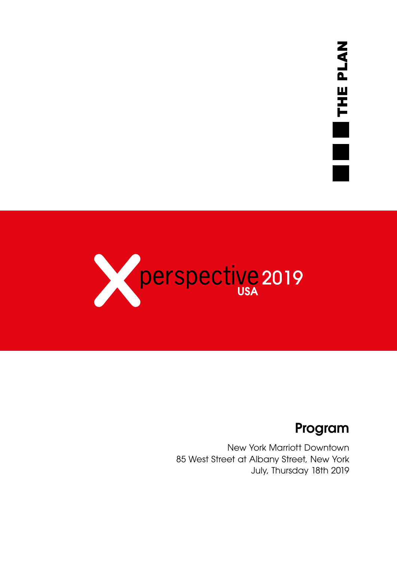

### Program

New York Marriott Downtown 85 West Street at Albany Street, New York July, Thursday 18th 2019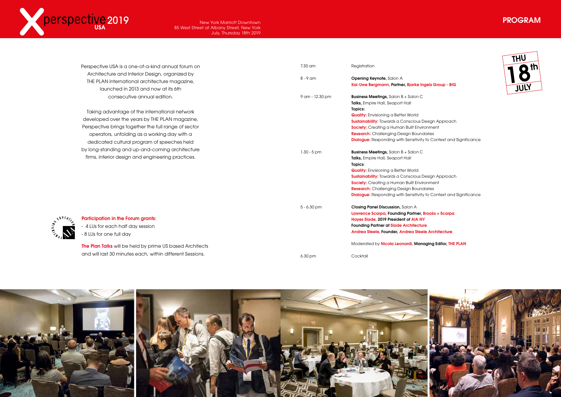





#### ngels Group - BIG

|                                           | Perspective USA is a one-of-a-kind annual forum on        | 7.30 am         | Registration                                                                                        |
|-------------------------------------------|-----------------------------------------------------------|-----------------|-----------------------------------------------------------------------------------------------------|
|                                           | Architecture and Interior Design, organized by            |                 |                                                                                                     |
|                                           | THE PLAN international architecture magazine,             | $8 - 9$ am      | <b>Opening Keynote, Salon A</b><br>Kai-Uwe Bergmann, Partner, Bjarke Ingels                         |
|                                           | launched in 2013 and now at its 6th                       |                 |                                                                                                     |
|                                           | consecutive annual edition.                               | 9 am - 12.30 pm | <b>Business Meetings, Salon B + Salon C</b><br>Talks, Empire Hall, Seaport Hall                     |
|                                           | Taking advantage of the international network             |                 | Topics:                                                                                             |
|                                           | developed over the years by THE PLAN magazine,            |                 | <b>Quality:</b> Envisioning a Better World<br><b>Sustainability:</b> Towards a Conscious Design     |
|                                           | Perspective brings together the full range of sector      |                 | Society: Creating a Human Built Environme                                                           |
|                                           | operators, unfolding as a working day with a              |                 | <b>Research:</b> Challenging Design Boundaries                                                      |
|                                           | dedicated cultural program of speeches held               |                 | <b>Dialogue:</b> Responding with Sensitivity to C                                                   |
|                                           | by long-standing and up-and-coming architecture           |                 |                                                                                                     |
|                                           | firms, interior design and engineering practices.         | $1.30 - 5$ pm   | <b>Business Meetings, Salon B + Salon C</b><br>Talks, Empire Hall, Seaport Hall<br>Topics:          |
|                                           |                                                           |                 | <b>Quality:</b> Envisioning a Better World                                                          |
|                                           |                                                           |                 | <b>Sustainability:</b> Towards a Conscious Design                                                   |
|                                           |                                                           |                 | Society: Creating a Human Built Environme                                                           |
|                                           |                                                           |                 | <b>Research:</b> Challenging Design Boundaries<br><b>Dialogue:</b> Responding with Sensitivity to C |
|                                           |                                                           |                 |                                                                                                     |
|                                           |                                                           | $5 - 6.30$ pm   | <b>Closing Panel Discussion, Salon A</b>                                                            |
|                                           |                                                           |                 | Lawrence Scarpa, Founding Partner, Brook                                                            |
| $\mathcal{L}_{\mathcal{A}_{\mathcal{A}}}$ | <b>Participation in the Forum grants:</b>                 |                 | Hayes Slade, 2019 President of AIA NY                                                               |
|                                           | - 4 LUs for each half day session                         |                 | <b>Founding Partner at Slade Architecture</b><br>Andrea Steele, Founder, Andrea Steele Ard          |
|                                           | - 8 LUs for one full day                                  |                 |                                                                                                     |
|                                           | The Plan Talks will be held by prime US based Architects  |                 | Moderated by Nicola Leonardi, Managing                                                              |
|                                           | and will last 30 minutes each, within different Sessions. | 6.30 pm         | Cocktail                                                                                            |
|                                           |                                                           |                 |                                                                                                     |



Design Approach ironment ity to Context and Significance

Bustain Approach *ironment* ity to Context and Significance

Brooks + Scarpa ele Architecture

naging Editor, THE PLAN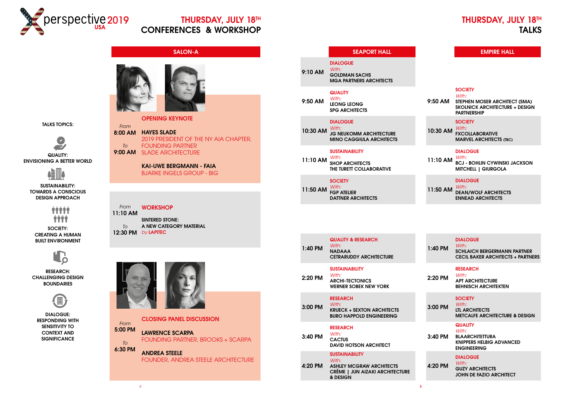### THURSDAY, JULY 18TH TALKS



### THURSDAY, JULY 18TH CONFERENCES & WORKSHOP

### SALON-A



OPENING KEYNOTE



KAI-UWE BERGMANN - FAIA BJARKE INGELS GROUP - BIG

### SEAPORT HALL

DIALOGUE *With:*

9:10 AM GOLDMAN SACHS MGA PARTNERS ARCHITECTS

### **QUALITY**

9:50 AM *With:*

LEONG LEONG SPG ARCHITECTS

10:30 AM *With:*

### DIALOGUE

JG NEUKOMM ARCHITECTURE MINO CAGGIULA ARCHITECTS

#### **SUSTAINABILITY** *With:*

#### *From* **WORKSHOP**

11:10 AM *With:* **SUSTAINABILITY** SHOP ARCHITECTS THE TURETT COLLABORATIVE

### **SOCIETY**

11:50 AM *With:* FGP ATELIER DATTNER ARCHITECTS

1:40 PM

### QUALITY & RESEARCH

*With:* NADAAA CETRARUDDY ARCHITECTURE

### **SUSTAINABILITY**

2:20 PM *With:* ARCHI-TECTONICS WERNER SOBEK NEW YORK

3:00 PM

RESEARCH

*With:* KRUECK + SEXTON ARCHITECTS BURO HAPPOLD ENGINEERING

3:40 PM

RESEARCH

*With:* **CACTUS** DAVID HOTSON ARCHITECT

4:20 PM ASHLEY MCGRAW ARCHITECTS CRÈME | JUN AIZAKI ARCHITECTURE & DESIGN





DIALOGUE: RESPONDING WITH SENSITIVITY TO CONTEXT AND **SIGNIFICANCE** 

### EMPIRE HALL

| 9:50 AM  | <b>SOCIETY</b><br>With:<br>STEPHEN MOSER ARCHITECT (SMA)<br><b>SKOLNICK ARCHITECTURE + DESIGN</b><br><b>PARTNERSHIP</b> |
|----------|-------------------------------------------------------------------------------------------------------------------------|
| 10:30 AM | <b>SOCIETY</b><br>With:<br><b>FXCOLLABORATIVE</b><br><b>MARVEL ARCHITECTS (TBC)</b>                                     |
| 11:10 AM | <b>DIALOGUE</b><br>With:<br><b>BCJ - BOHLIN CYWINSKI JACKSON</b><br><b>MITCHELL   GIURGOLA</b>                          |
| 11:50 AM | <b>DIALOGUE</b><br>With:<br><b>DEAN/WOLF ARCHITECTS</b><br><b>ENNEAD ARCHITECTS</b>                                     |

| With:<br>$1:40$ PM<br><b>SCHLAICH BERGERMANN PARTNER</b><br><b>CECIL BAKER ARCHITECTS + PARTNERS</b>                  |  |
|-----------------------------------------------------------------------------------------------------------------------|--|
| <b>RESEARCH</b><br>With:<br>2:20 PM<br><b>APT ARCHITECTURE</b><br><b>BEHNISCH ARCHITEKTEN</b>                         |  |
| <b>SOCIETY</b><br>With:<br>3:00 PM<br><b>LTL ARCHITECTS</b><br><b>METCALFE ARCHITECTURE &amp; DESIGN</b>              |  |
| <b>QUALITY</b><br>With:<br>3:40 PM<br><b>BLAARCHITETTURA</b><br><b>KNIPPERS HELBIG ADVANCED</b><br><b>ENGINEERING</b> |  |
| <b>DIALOGUE</b><br>With:<br>4:20 PM<br><b>GUZY ARCHITECTS</b><br>JOHN DE FAZIO ARCHITECT                              |  |

*From*

*To* 6:30 PM

5:00 PM CLOSING PANEL DISCUSSION LAWRENCE SCARPA FOUNDING PARTNER, BROOKS + SCARPA

> ANDREA STEELE FOUNDER, ANDREA STEELE ARCHITECTURE

TALKS TOPICS:



QUALITY: ENVISIONING A BETTER WORLD



SUSTAINABILITY: TOWARDS A CONSCIOUS DESIGN APPROACH



SOCIETY: CREATING A HUMAN BUILT ENVIRONMENT



RESEARCH: CHALLENGING DESIGN BOUNDARIES

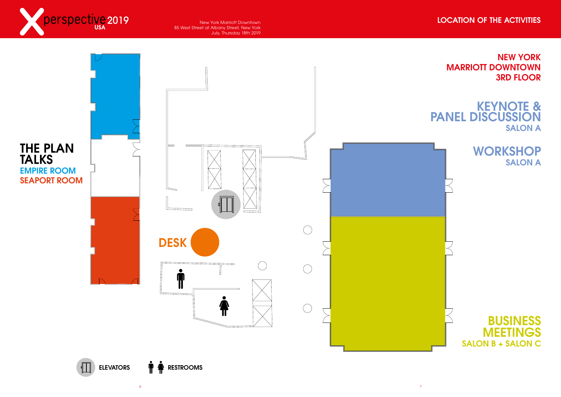### NEW YORK MARRIOTT DOWNTOWN 3RD FLOOR

### KEYNOTE & PANEL DISCUSSION **SALON A**

## **WORKSHOP SALON A**





### LOCATION OF THE ACTIVITIES

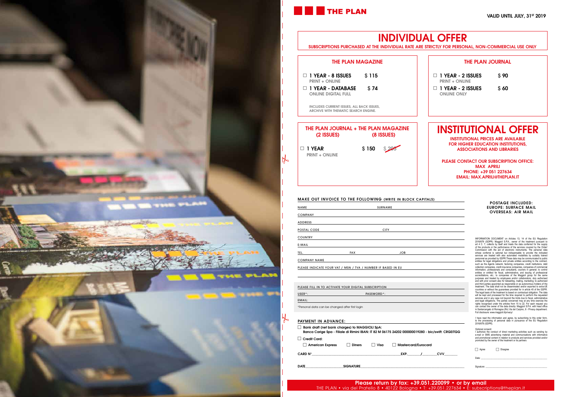

# **THE PLAN**

### MAKE OUT INVOICE TO THE FOLLOWING (WRITE IN BLOCK CAPITALS)

| <b>NAME</b>                                                  |            | <b>SURNAME</b> |
|--------------------------------------------------------------|------------|----------------|
| <b>COMPANY</b>                                               |            |                |
| <b>ADDRESS</b>                                               |            |                |
| <b>POSTAL CODE</b>                                           |            | <b>CITY</b>    |
| <b>COUNTRY</b>                                               |            |                |
| E-MAIL                                                       |            |                |
|                                                              |            |                |
| TEL.                                                         | <b>FAX</b> | <b>JOB</b>     |
| <b>COMPANY NAME</b>                                          |            |                |
| PLEASE INDICATE YOUR VAT / MSN / TVA / NUMBER IF BASED IN EU |            |                |
|                                                              |            |                |

| Bank draft (net bank charges) to MAGGIOLI SpA:<br>Banca Carige Spa - Filiale di Rimini IBAN: IT 82 M 06175 24202 000000019280 - bic/swift: CRGEITG |               |        |                            |            |  |
|----------------------------------------------------------------------------------------------------------------------------------------------------|---------------|--------|----------------------------|------------|--|
| Credit Card:<br>$\perp$ American Express                                                                                                           | <b>Diners</b> | l Visa | $\Box$ Mastercard/Eurocard |            |  |
| CARD N°                                                                                                                                            |               |        | EXP.                       | <b>CVV</b> |  |

#### PAYMENT IN ADVANCE:

DATE\_\_\_\_\_\_\_\_\_\_\_\_\_\_\_\_\_\_\_\_\_\_\_SIGNATURE\_\_\_\_\_\_\_\_\_\_\_\_\_\_\_\_\_\_\_\_\_\_\_\_\_\_\_\_\_\_\_\_\_\_\_\_\_\_\_\_\_\_\_\_\_\_\_\_\_\_\_\_\_\_\_\_\_\_\_\_\_\_\_

| PLEASE FILL IN TO ACTIVATE YOUR DIGITAL SUBSCRIPTION |            |
|------------------------------------------------------|------------|
| $USER^{\star}$ :                                     | PASSWORD*: |
| EMAIL:                                               |            |
| *Personal data can be changed after first login      |            |

#### POSTAGE INCLUDED: EUROPE: SURFACE MAIL OVERSEAS: AIR MAIL

INFORMATION DOCUMENT on Articles 13, 14 of the EU Regulation<br>2016/679 (GDPR): Maggioli S.P.A., owner of the treatment pursuant to<br>and 4 C. 7, collects by itself and teats the data conferred for the supply<br>and 4 C. 7, colle entities for legal obligations and private entities according to the contract, such as the Agents neother, debtools control companies, credit institutions, debt collection companies, credit institutions, debticallection co

 $\Box$  1 YEAR - 2 ISSUES  $\Box$  \$ 90 PRINT + ONLINE

 $\Box$  1 YEAR - 2 ISSUES  $\Box$  \$ 60 **ONLINE ONLY** 

I have read the information and agree, by subscribing to this order form, to the processing of personal data in pursuance of the EU Regulation 2016/679 (GDPR).

#### bic/swift: CRGEITGG

Optional consent:<br>I authorize the conduct of direct marketing activities such as sending by<br>e-mail or SMS advertising material and communications with informative<br>and promotional content in relation to products and service

| $\sim$<br>$\sim$ |
|------------------|
|                  |

 $\Box$  Disagree

Date: \_\_\_\_\_\_\_\_\_\_\_\_\_\_\_\_\_\_\_\_\_\_\_\_\_\_\_\_\_\_\_\_\_\_\_\_\_\_\_\_\_\_\_\_\_\_\_\_\_\_\_\_\_\_\_\_

Signature: \_\_\_\_\_\_\_\_\_\_\_\_\_\_\_\_\_\_\_\_\_\_\_\_\_\_\_\_\_\_\_\_\_\_\_\_\_\_\_\_\_\_\_\_\_\_\_\_\_\_\_\_

# INDIVIDUAL OFFER

SUBSCRIPTIONS PURCHASED AT THE INDIVIDUAL RATE ARE STRICTLY FOR PERSONAL, NON-COMMERCIAL USE ONLY

# INSTITUTIONAL OFFER

INSTITUTIONAL PRICES ARE AVAILABLE FOR HIGHER EDUCATION INSTITUTIONS, ASSOCIATIONS AND LIBRARIES

PLEASE CONTACT OUR SUBSCRIPTION OFFICE: MAX APRILI PHONE: +39 051 227634 EMAIL: MAX.APRILI@THEPLAN.IT

| <b>THE PLAN MAGAZINE</b>                                                                 |       |            |
|------------------------------------------------------------------------------------------|-------|------------|
| $\Box$ 1 Year - 8 Issues<br><b>PRINT + ONLINE</b>                                        | \$115 |            |
| $\Box$ 1 YEAR - DATABASE $\qquad$ \$ 74<br><b>ONLINE DIGITAL FULL</b>                    |       |            |
| <b>INCLUDES CURRENT ISSUES, ALL BACK ISSUES,</b><br>ARCHIVE WITH THEMATIC SEARCH ENGINE. |       |            |
|                                                                                          |       |            |
| THE PLAN JOURNAL + THE PLAN MAGAZINE<br>(2 ISSUES)                                       |       | (8 ISSUES) |

### THE PLAN JOURNAL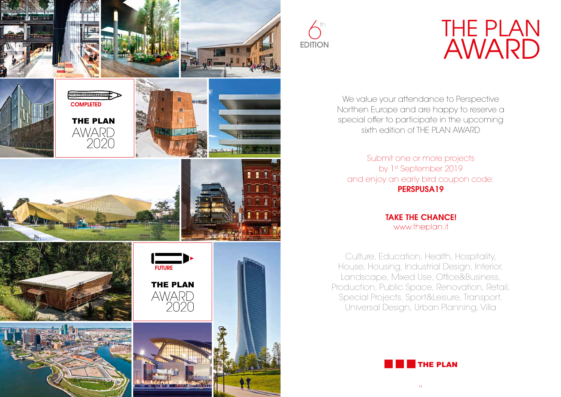



# THE PLAN AWARD

### **THE PLAN**

We value your attendance to Perspective Northen Europe and are happy to reserve a special offer to participate in the upcoming sixth edition of THE PLAN AWARD

Submit one or more projects by 1st September 2019 and enjoy an early bird coupon code: PERSPUSA19

> **TAKE THE CHANCE!** www.theplan.it

Culture, Education, Health, Hospitality, House, Housing, Industrial Design, Interior, Landscape, Mixed Use, Office&Business, Production, Public Space, Renovation, Retail, Special Projects, Sport&Leisure, Transport, Universal Design, Urban Planning, Villa